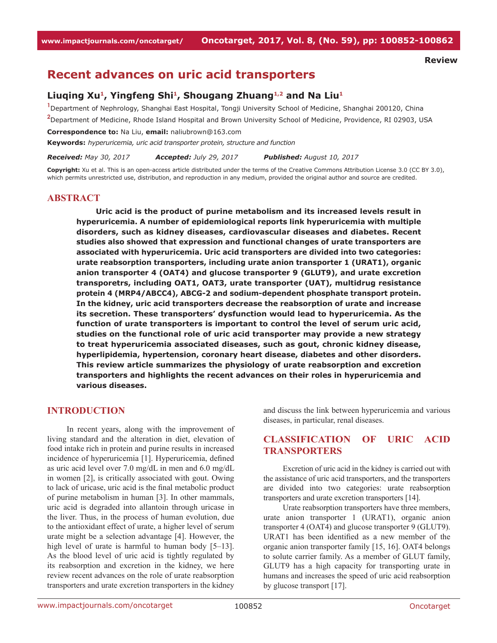# **Recent advances on uric acid transporters**

### Liuging Xu<sup>1</sup>, Yingfeng Shi<sup>1</sup>, Shougang Zhuang<sup>1,2</sup> and Na Liu<sup>1</sup>

**1** Department of Nephrology, Shanghai East Hospital, Tongji University School of Medicine, Shanghai 200120, China

**2** Department of Medicine, Rhode Island Hospital and Brown University School of Medicine, Providence, RI 02903, USA

**Correspondence to:** Na Liu, **email:** naliubrown@163.com

**Keywords:** *hyperuricemia, uric acid transporter protein, structure and function*

*Received: May 30, 2017 Accepted: July 29, 2017 Published: August 10, 2017*

**Copyright:** Xu et al. This is an open-access article distributed under the terms of the Creative Commons Attribution License 3.0 (CC BY 3.0), which permits unrestricted use, distribution, and reproduction in any medium, provided the original author and source are credited.

#### **ABSTRACT**

**Uric acid is the product of purine metabolism and its increased levels result in hyperuricemia. A number of epidemiological reports link hyperuricemia with multiple disorders, such as kidney diseases, cardiovascular diseases and diabetes. Recent studies also showed that expression and functional changes of urate transporters are associated with hyperuricemia. Uric acid transporters are divided into two categories: urate reabsorption transporters, including urate anion transporter 1 (URAT1), organic anion transporter 4 (OAT4) and glucose transporter 9 (GLUT9), and urate excretion transporetrs, including OAT1, OAT3, urate transporter (UAT), multidrug resistance protein 4 (MRP4/ABCC4), ABCG-2 and sodium-dependent phosphate transport protein. In the kidney, uric acid transporters decrease the reabsorption of urate and increase its secretion. These transporters' dysfunction would lead to hyperuricemia. As the function of urate transporters is important to control the level of serum uric acid, studies on the functional role of uric acid transporter may provide a new strategy to treat hyperuricemia associated diseases, such as gout, chronic kidney disease, hyperlipidemia, hypertension, coronary heart disease, diabetes and other disorders. This review article summarizes the physiology of urate reabsorption and excretion transporters and highlights the recent advances on their roles in hyperuricemia and various diseases.**

# **INTRODUCTION**

In recent years, along with the improvement of living standard and the alteration in diet, elevation of food intake rich in protein and purine results in increased incidence of hyperuricemia [1]. Hyperuricemia, defined as uric acid level over 7.0 mg/dL in men and 6.0 mg/dL in women [2], is critically associated with gout. Owing to lack of uricase, uric acid is the final metabolic product of purine metabolism in human [3]. In other mammals, uric acid is degraded into allantoin through uricase in the liver. Thus, in the process of human evolution, due to the antioxidant effect of urate, a higher level of serum urate might be a selection advantage [4]. However, the high level of urate is harmful to human body [5–13]. As the blood level of uric acid is tightly regulated by its reabsorption and excretion in the kidney, we here review recent advances on the role of urate reabsorption transporters and urate excretion transporters in the kidney

and discuss the link between hyperuricemia and various diseases, in particular, renal diseases.

### **CLASSIFICATION OF URIC ACID TRANSPORTERS**

Excretion of uric acid in the kidney is carried out with the assistance of uric acid transporters, and the transporters are divided into two categories: urate reabsorption transporters and urate excretion transporters [14].

Urate reabsorption transporters have three members, urate anion transporter 1 (URAT1), organic anion transporter 4 (OAT4) and glucose transporter 9 (GLUT9). URAT1 has been identified as a new member of the organic anion transporter family [15, 16]. OAT4 belongs to solute carrier family. As a member of GLUT family, GLUT9 has a high capacity for transporting urate in humans and increases the speed of uric acid reabsorption by glucose transport [17].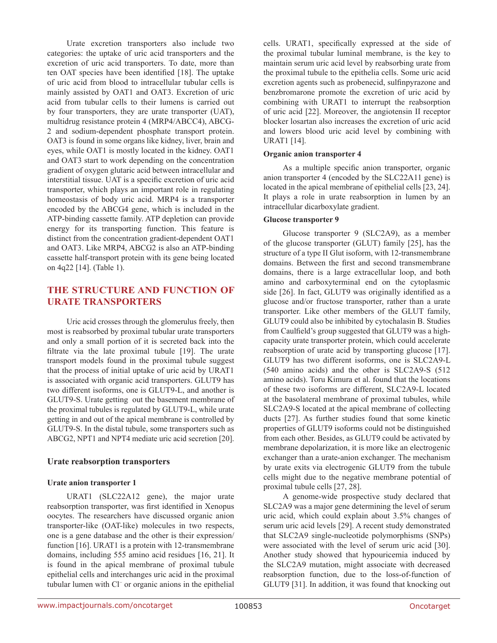Urate excretion transporters also include two categories: the uptake of uric acid transporters and the excretion of uric acid transporters. To date, more than ten OAT species have been identified [18]. The uptake of uric acid from blood to intracellular tubular cells is mainly assisted by OAT1 and OAT3. Excretion of uric acid from tubular cells to their lumens is carried out by four transporters, they are urate transporter (UAT), multidrug resistance protein 4 (MRP4/ABCC4), ABCG-2 and sodium-dependent phosphate transport protein. OAT3 is found in some organs like kidney, liver, brain and eyes, while OAT1 is mostly located in the kidney. OAT1 and OAT3 start to work depending on the concentration gradient of oxygen glutaric acid between intracellular and interstitial tissue. UAT is a specific excretion of uric acid transporter, which plays an important role in regulating homeostasis of body uric acid. MRP4 is a transporter encoded by the ABCG4 gene, which is included in the ATP-binding cassette family. ATP depletion can provide energy for its transporting function. This feature is distinct from the concentration gradient-dependent OAT1 and OAT3. Like MRP4, ABCG2 is also an ATP-binding cassette half-transport protein with its gene being located on 4q22 [14]. (Table 1).

# **THE STRUCTURE AND FUNCTION OF URATE TRANSPORTERS**

Uric acid crosses through the glomerulus freely, then most is reabsorbed by proximal tubular urate transporters and only a small portion of it is secreted back into the filtrate via the late proximal tubule [19]. The urate transport models found in the proximal tubule suggest that the process of initial uptake of uric acid by URAT1 is associated with organic acid transporters. GLUT9 has two different isoforms, one is GLUT9-L, and another is GLUT9-S. Urate getting out the basement membrane of the proximal tubules is regulated by GLUT9-L, while urate getting in and out of the apical membrane is controlled by GLUT9-S. In the distal tubule, some transporters such as ABCG2, NPT1 and NPT4 mediate uric acid secretion [20].

#### **Urate reabsorption transporters**

#### **Urate anion transporter 1**

URAT1 (SLC22A12 gene), the major urate reabsorption transporter, was first identified in Xenopus oocytes. The researchers have discussed organic anion transporter-like (OAT-like) molecules in two respects, one is a gene database and the other is their expression/ function [16]. URAT1 is a protein with 12-transmembrane domains, including 555 amino acid residues [16, 21]. It is found in the apical membrane of proximal tubule epithelial cells and interchanges uric acid in the proximal tubular lumen with Cl− or organic anions in the epithelial cells. URAT1, specifically expressed at the side of the proximal tubular luminal membrane, is the key to maintain serum uric acid level by reabsorbing urate from the proximal tubule to the epithelia cells. Some uric acid excretion agents such as probenecid, sulfinpyrazone and benzbromarone promote the excretion of uric acid by combining with URAT1 to interrupt the reabsorption of uric acid [22]. Moreover, the angiotensin II receptor blocker losartan also increases the excretion of uric acid and lowers blood uric acid level by combining with URAT1 [14].

#### **Organic anion transporter 4**

As a multiple specific anion transporter, organic anion transporter 4 (encoded by the SLC22A11 gene) is located in the apical membrane of epithelial cells [23, 24]. It plays a role in urate reabsorption in lumen by an intracellular dicarboxylate gradient.

#### **Glucose transporter 9**

Glucose transporter 9 (SLC2A9), as a member of the glucose transporter (GLUT) family [25], has the structure of a type II Glut isoform, with 12-transmembrane domains. Between the first and second transmembrane domains, there is a large extracellular loop, and both amino and carboxyterminal end on the cytoplasmic side [26]. In fact, GLUT9 was originally identified as a glucose and/or fructose transporter, rather than a urate transporter. Like other members of the GLUT family, GLUT9 could also be inhibited by cytochalasin B. Studies from Caulfield's group suggested that GLUT9 was a highcapacity urate transporter protein, which could accelerate reabsorption of urate acid by transporting glucose [17]. GLUT9 has two different isoforms, one is SLC2A9-L (540 amino acids) and the other is SLC2A9-S (512 amino acids). Toru Kimura et al. found that the locations of these two isoforms are different, SLC2A9-L located at the basolateral membrane of proximal tubules, while SLC2A9-S located at the apical membrane of collecting ducts [27]. As further studies found that some kinetic properties of GLUT9 isoforms could not be distinguished from each other. Besides, as GLUT9 could be activated by membrane depolarization, it is more like an electrogenic exchanger than a urate-anion exchanger. The mechanism by urate exits via electrogenic GLUT9 from the tubule cells might due to the negative membrane potential of proximal tubule cells [27, 28].

A genome-wide prospective study declared that SLC2A9 was a major gene determining the level of serum uric acid, which could explain about 3.5% changes of serum uric acid levels [29]. A recent study demonstrated that SLC2A9 single-nucleotide polymorphisms (SNPs) were associated with the level of serum uric acid [30]. Another study showed that hypouricemia induced by the SLC2A9 mutation, might associate with decreased reabsorption function, due to the loss-of-function of GLUT9 [31]. In addition, it was found that knocking out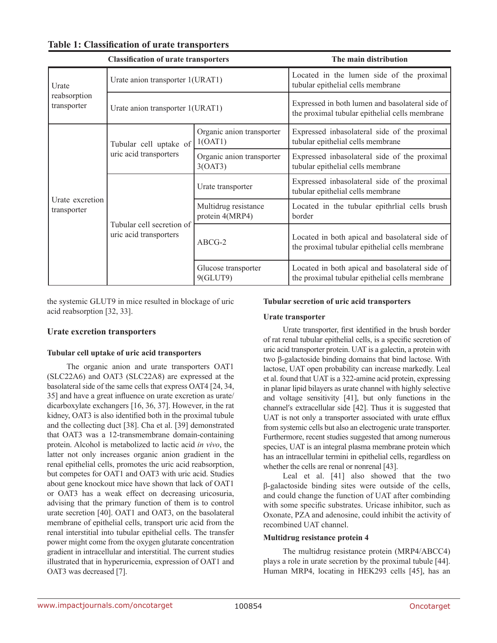| <b>Classification of urate transporters</b> |                                                     |                                         | The main distribution                                                                             |
|---------------------------------------------|-----------------------------------------------------|-----------------------------------------|---------------------------------------------------------------------------------------------------|
| Urate<br>reabsorption<br>transporter        | Urate anion transporter 1(URAT1)                    |                                         | Located in the lumen side of the proximal<br>tubular epithelial cells membrane                    |
|                                             | Urate anion transporter 1(URAT1)                    |                                         | Expressed in both lumen and basolateral side of<br>the proximal tubular epithelial cells membrane |
| Urate excretion<br>transporter              | Tubular cell uptake of<br>uric acid transporters    | Organic anion transporter<br>1(OAT1)    | Expressed inbasolateral side of the proximal<br>tubular epithelial cells membrane                 |
|                                             |                                                     | Organic anion transporter<br>3(OAT3)    | Expressed inbasolateral side of the proximal<br>tubular epithelial cells membrane                 |
|                                             | Tubular cell secretion of<br>uric acid transporters | Urate transporter                       | Expressed inbasolateral side of the proximal<br>tubular epithelial cells membrane                 |
|                                             |                                                     | Multidrug resistance<br>protein 4(MRP4) | Located in the tubular epithrlial cells brush<br>border                                           |
|                                             |                                                     | ABCG-2                                  | Located in both apical and basolateral side of<br>the proximal tubular epithelial cells membrane  |
|                                             |                                                     | Glucose transporter<br>9(GLUT9)         | Located in both apical and basolateral side of<br>the proximal tubular epithelial cells membrane  |

# **Table 1: Classification of urate transporters**

the systemic GLUT9 in mice resulted in blockage of uric acid reabsorption [32, 33].

### **Urate excretion transporters**

#### **Tubular cell uptake of uric acid transporters**

The organic anion and urate transporters OAT1 (SLC22A6) and OAT3 (SLC22A8) are expressed at the basolateral side of the same cells that express OAT4 [24, 34, 35] and have a great influence on urate excretion as urate/ dicarboxylate exchangers [16, 36, 37]. However, in the rat kidney, OAT3 is also identified both in the proximal tubule and the collecting duct [38]. Cha et al. [39] demonstrated that OAT3 was a 12-transmembrane domain-containing protein. Alcohol is metabolized to lactic acid *in vivo*, the latter not only increases organic anion gradient in the renal epithelial cells, promotes the uric acid reabsorption, but competes for OAT1 and OAT3 with uric acid. Studies about gene knockout mice have shown that lack of OAT1 or OAT3 has a weak effect on decreasing uricosuria, advising that the primary function of them is to control urate secretion [40]. OAT1 and OAT3, on the basolateral membrane of epithelial cells, transport uric acid from the renal interstitial into tubular epithelial cells. The transfer power might come from the oxygen glutarate concentration gradient in intracellular and interstitial. The current studies illustrated that in hyperuricemia, expression of OAT1 and OAT3 was decreased [7].

### **Tubular secretion of uric acid transporters**

#### **Urate transporter**

Urate transporter, first identified in the brush border of rat renal tubular epithelial cells, is a specific secretion of uric acid transporter protein. UAT is a galectin, a protein with two β-galactoside binding domains that bind lactose. With lactose, UAT open probability can increase markedly. Leal et al. found that UAT is a 322-amine acid protein, expressing in planar lipid bilayers as urate channel with highly selective and voltage sensitivity [41], but only functions in the channel′s extracellular side [42]. Thus it is suggested that UAT is not only a transporter associated with urate efflux from systemic cells but also an electrogenic urate transporter. Furthermore, recent studies suggested that among numerous species, UAT is an integral plasma membrane protein which has an intracellular termini in epithelial cells, regardless on whether the cells are renal or nonrenal [43].

Leal et al. [41] also showed that the two β-galactoside binding sites were outside of the cells, and could change the function of UAT after combinding with some specific substrates. Uricase inhibitor, such as Oxonate, PZA and adenosine, could inhibit the activity of recombined UAT channel.

#### **Multidrug resistance protein 4**

The multidrug resistance protein (MRP4/ABCC4) plays a role in urate secretion by the proximal tubule [44]. Human MRP4, locating in HEK293 cells [45], has an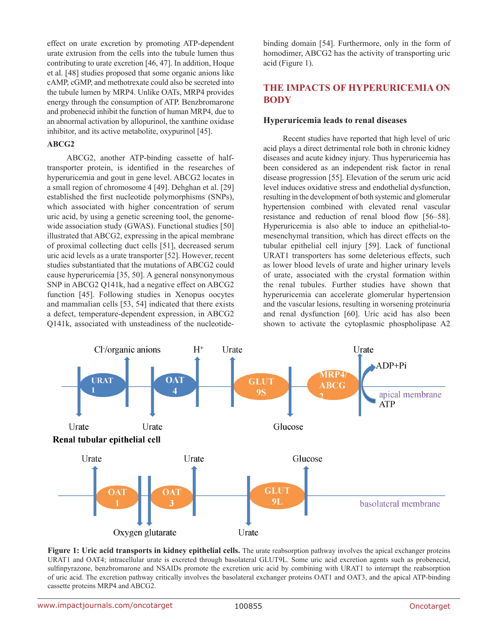effect on urate excretion by promoting ATP-dependent urate extrusion from the cells into the tubule lumen thus contributing to urate excretion [46, 47]. In addition, Hoque et al. [48] studies proposed that some organic anions like cAMP, cGMP, and methotrexate could also be secreted into the tubule lumen by MRP4. Unlike OATs, MRP4 provides energy through the consumption of ATP. Benzbromarone and probenecid inhibit the function of human MRP4, due to an abnormal activation by allopurinol, the xanthine oxidase inhibitor, and its active metabolite, oxypurinol [45].

#### **ABCG2**

ABCG2, another ATP-binding cassette of halftransporter protein, is identified in the researches of hyperuricemia and gout in gene level. ABCG2 locates in a small region of chromosome 4 [49]. Dehghan et al. [29] established the first nucleotide polymorphisms (SNPs), which associated with higher concentration of serum uric acid, by using a genetic screening tool, the genomewide association study (GWAS). Functional studies [50] illustrated that ABCG2, expressing in the apical membrane of proximal collecting duct cells [51], decreased serum uric acid levels as a urate transporter [52]. However, recent studies substantiated that the mutations of ABCG2 could cause hyperuricemia [35, 50]. A general nonsynonymous SNP in ABCG2 Q141k, had a negative effect on ABCG2 function [45]. Following studies in Xenopus oocytes and mammalian cells [53, 54] indicated that there exists a defect, temperature-dependent expression, in ABCG2 Q141k, associated with unsteadiness of the nucleotidebinding domain [54]. Furthermore, only in the form of homodimer, ABCG2 has the activity of transporting uric acid (Figure 1).

# **THE IMPACTS OF HYPERURICEMIA ON BODY**

### **Hyperuricemia leads to renal diseases**

Recent studies have reported that high level of uric acid plays a direct detrimental role both in chronic kidney diseases and acute kidney injury. Thus hyperuricemia has been considered as an independent risk factor in renal disease progression [55]. Elevation of the serum uric acid level induces oxidative stress and endothelial dysfunction, resulting in the development of both systemic and glomerular hypertension combined with elevated renal vascular resistance and reduction of renal blood flow [56–58]. Hyperuricemia is also able to induce an epithelial-tomesenchymal transition, which has direct effects on the tubular epithelial cell injury [59]. Lack of functional URAT1 transporters has some deleterious effects, such as lower blood levels of urate and higher urinary levels of urate, associated with the crystal formation within the renal tubules. Further studies have shown that hyperuricemia can accelerate glomerular hypertension and the vascular lesions, resulting in worsening proteinuria and renal dysfunction [60]. Uric acid has also been shown to activate the cytoplasmic phospholipase A2



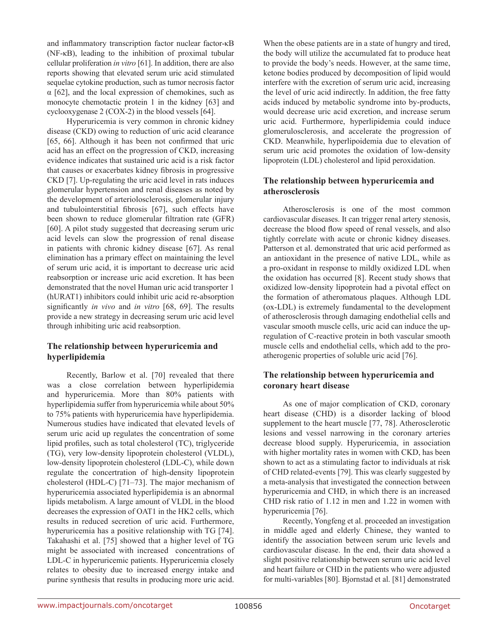and inflammatory transcription factor nuclear factor-κB (NF-κB), leading to the inhibition of proximal tubular cellular proliferation *in vitro* [61]. In addition, there are also reports showing that elevated serum uric acid stimulated sequelae cytokine production, such as tumor necrosis factor  $\alpha$  [62], and the local expression of chemokines, such as monocyte chemotactic protein 1 in the kidney [63] and cyclooxygenase 2 (COX-2) in the blood vessels [64].

Hyperuricemia is very common in chronic kidney disease (CKD) owing to reduction of uric acid clearance [65, 66]. Although it has been not confirmed that uric acid has an effect on the progression of CKD, increasing evidence indicates that sustained uric acid is a risk factor that causes or exacerbates kidney fibrosis in progressive CKD [7]. Up-regulating the uric acid level in rats induces glomerular hypertension and renal diseases as noted by the development of arteriolosclerosis, glomerular injury and tubulointerstitial fibrosis [67], such effects have been shown to reduce glomerular filtration rate (GFR) [60]. A pilot study suggested that decreasing serum uric acid levels can slow the progression of renal disease in patients with chronic kidney disease [67]. As renal elimination has a primary effect on maintaining the level of serum uric acid, it is important to decrease uric acid reabsorption or increase uric acid excretion. It has been demonstrated that the novel Human uric acid transporter 1 (hURAT1) inhibitors could inhibit uric acid re-absorption significantly *in vivo* and *in vitro* [68, 69]. The results provide a new strategy in decreasing serum uric acid level through inhibiting uric acid reabsorption.

### **The relationship between hyperuricemia and hyperlipidemia**

Recently, Barlow et al. [70] revealed that there was a close correlation between hyperlipidemia and hyperuricemia. More than 80% patients with hyperlipidemia suffer from hyperuricemia while about 50% to 75% patients with hyperuricemia have hyperlipidemia. Numerous studies have indicated that elevated levels of serum uric acid up regulates the concentration of some lipid profiles, such as total cholesterol (TC), triglyceride (TG), very low-density lipoprotein cholesterol (VLDL), low-density lipoprotein cholesterol (LDL-C), while down regulate the concertration of high-density lipoprotein cholesterol (HDL-C) [71–73]. The major mechanism of hyperuricemia associated hyperlipidemia is an abnormal lipids metabolism. A large amount of VLDL in the blood decreases the expression of OAT1 in the HK2 cells, which results in reduced secretion of uric acid. Furthermore, hyperuricemia has a positive relationship with TG [74]. Takahashi et al. [75] showed that a higher level of TG might be associated with increased concentrations of LDL-C in hyperuricemic patients. Hyperuricemia closely relates to obesity due to increased energy intake and purine synthesis that results in producing more uric acid.

When the obese patients are in a state of hungry and tired, the body will utilize the accumulated fat to produce heat to provide the body's needs. However, at the same time, ketone bodies produced by decomposition of lipid would interfere with the excretion of serum uric acid, increasing the level of uric acid indirectly. In addition, the free fatty acids induced by metabolic syndrome into by-products, would decrease uric acid excretion, and increase serum uric acid. Furthermore, hyperlipidemia could induce glomerulosclerosis, and accelerate the progression of CKD. Meanwhile, hyperlipoidemia due to elevation of serum uric acid promotes the oxidation of low-density lipoprotein (LDL) cholesterol and lipid peroxidation.

### **The relationship between hyperuricemia and atherosclerosis**

Atherosclerosis is one of the most common cardiovascular diseases. It can trigger renal artery stenosis, decrease the blood flow speed of renal vessels, and also tightly correlate with acute or chronic kidney diseases. Patterson et al. demonstrated that uric acid performed as an antioxidant in the presence of native LDL, while as a pro-oxidant in response to mildly oxidized LDL when the oxidation has occurred [8]. Recent study shows that oxidized low-density lipoprotein had a pivotal effect on the formation of atheromatous plaques. Although LDL (ox-LDL) is extremely fundamental to the development of atherosclerosis through damaging endothelial cells and vascular smooth muscle cells, uric acid can induce the upregulation of C-reactive protein in both vascular smooth muscle cells and endothelial cells, which add to the proatherogenic properties of soluble uric acid [76].

### **The relationship between hyperuricemia and coronary heart disease**

As one of major complication of CKD, coronary heart disease (CHD) is a disorder lacking of blood supplement to the heart muscle [77, 78]. Atherosclerotic lesions and vessel narrowing in the coronary arteries decrease blood supply. Hyperuricemia, in association with higher mortality rates in women with CKD, has been shown to act as a stimulating factor to individuals at risk of CHD related-events [79]. This was clearly suggested by a meta-analysis that investigated the connection between hyperuricemia and CHD, in which there is an increased CHD risk ratio of 1.12 in men and 1.22 in women with hyperuricemia [76].

Recently, Yongfeng et al. proceeded an investigation in middle aged and elderly Chinese, they wanted to identify the association between serum uric levels and cardiovascular disease. In the end, their data showed a slight positive relationship between serum uric acid level and heart failure or CHD in the patients who were adjusted for multi-variables [80]. Bjornstad et al. [81] demonstrated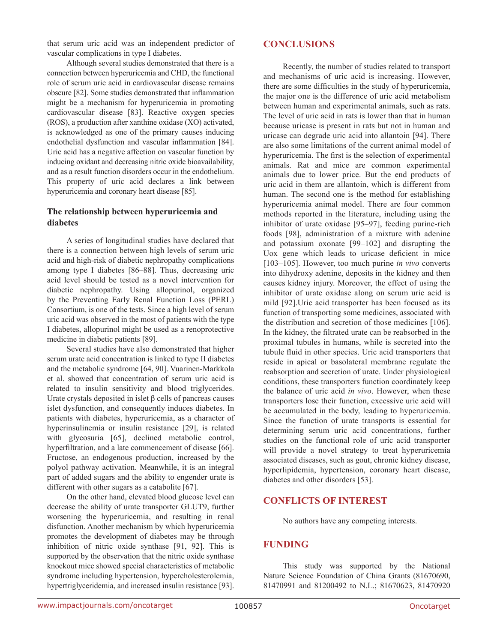that serum uric acid was an independent predictor of vascular complications in type I diabetes.

Although several studies demonstrated that there is a connection between hyperuricemia and CHD, the functional role of serum uric acid in cardiovascular disease remains obscure [82]. Some studies demonstrated that inflammation might be a mechanism for hyperuricemia in promoting cardiovascular disease [83]. Reactive oxygen species (ROS), a production after xanthine oxidase (XO) activated, is acknowledged as one of the primary causes inducing endothelial dysfunction and vascular inflammation [84]. Uric acid has a negative affection on vascular function by inducing oxidant and decreasing nitric oxide bioavailability, and as a result function disorders occur in the endothelium. This property of uric acid declares a link between hyperuricemia and coronary heart disease [85].

### **The relationship between hyperuricemia and diabetes**

A series of longitudinal studies have declared that there is a connection between high levels of serum uric acid and high-risk of diabetic nephropathy complications among type I diabetes [86–88]. Thus, decreasing uric acid level should be tested as a novel intervention for diabetic nephropathy. Using allopurinol, organized by the Preventing Early Renal Function Loss (PERL) Consortium, is one of the tests. Since a high level of serum uric acid was observed in the most of patients with the type I diabetes, allopurinol might be used as a renoprotective medicine in diabetic patients [89].

Several studies have also demonstrated that higher serum urate acid concentration is linked to type II diabetes and the metabolic syndrome [64, 90]. Vuarinen-Markkola et al. showed that concentration of serum uric acid is related to insulin sensitivity and blood triglycerides. Urate crystals deposited in islet β cells of pancreas causes islet dysfunction, and consequently induces diabetes. In patients with diabetes, hyperuricemia, as a character of hyperinsulinemia or insulin resistance [29], is related with glycosuria [65], declined metabolic control, hyperfiltration, and a late commencement of disease [66]. Fructose, an endogenous production, increased by the polyol pathway activation. Meanwhile, it is an integral part of added sugars and the ability to engender urate is different with other sugars as a catabolite [67].

On the other hand, elevated blood glucose level can decrease the ability of urate transporter GLUT9, further worsening the hyperuricemia, and resulting in renal disfunction. Another mechanism by which hyperuricemia promotes the development of diabetes may be through inhibition of nitric oxide synthase [91, 92]. This is supported by the observation that the nitric oxide synthase knockout mice showed special characteristics of metabolic syndrome including hypertension, hypercholesterolemia, hypertriglyceridemia, and increased insulin resistance [93].

# **CONCLUSIONS**

Recently, the number of studies related to transport and mechanisms of uric acid is increasing. However, there are some difficulties in the study of hyperuricemia, the major one is the difference of uric acid metabolism between human and experimental animals, such as rats. The level of uric acid in rats is lower than that in human because uricase is present in rats but not in human and uricase can degrade uric acid into allantoin [94]. There are also some limitations of the current animal model of hyperuricemia. The first is the selection of experimental animals. Rat and mice are common experimental animals due to lower price. But the end products of uric acid in them are allantoin, which is different from human. The second one is the method for establishing hyperuricemia animal model. There are four common methods reported in the literature, including using the inhibitor of urate oxidase [95–97], feeding purine-rich foods [98], administration of a mixture with adenine and potassium oxonate [99–102] and disrupting the Uox gene which leads to uricase deficient in mice [103–105]. However, too much purine *in vivo* converts into dihydroxy adenine, deposits in the kidney and then causes kidney injury. Moreover, the effect of using the inhibitor of urate oxidase along on serum uric acid is mild [92].Uric acid transporter has been focused as its function of transporting some medicines, associated with the distribution and secretion of those medicines [106]. In the kidney, the filtrated urate can be reabsorbed in the proximal tubules in humans, while is secreted into the tubule fluid in other species. Uric acid transporters that reside in apical or basolateral membrane regulate the reabsorption and secretion of urate. Under physiological conditions, these transporters function coordinately keep the balance of uric acid *in vivo*. However, when these transporters lose their function, excessive uric acid will be accumulated in the body, leading to hyperuricemia. Since the function of urate transports is essential for determining serum uric acid concentrations, further studies on the functional role of uric acid transporter will provide a novel strategy to treat hyperuricemia associated diseases, such as gout, chronic kidney disease, hyperlipidemia, hypertension, coronary heart disease, diabetes and other disorders [53].

# **CONFLICTS OF INTEREST**

No authors have any competing interests.

### **FUNDING**

This study was supported by the National Nature Science Foundation of China Grants (81670690, 81470991 and 81200492 to N.L.; 81670623, 81470920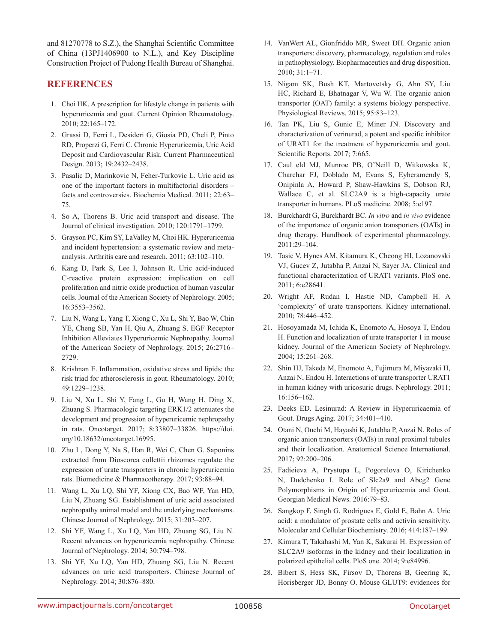and 81270778 to S.Z.), the Shanghai Scientific Committee of China (13PJ1406900 to N.L.), and Key Discipline Construction Project of Pudong Health Bureau of Shanghai.

# **REFERENCES**

- 1. Choi HK. A prescription for lifestyle change in patients with hyperuricemia and gout. Current Opinion Rheumatology. 2010; 22:165–172.
- 2. Grassi D, Ferri L, Desideri G, Giosia PD, Cheli P, Pinto RD, Properzi G, Ferri C. Chronic Hyperuricemia, Uric Acid Deposit and Cardiovascular Risk. Current Pharmaceutical Design. 2013; 19:2432–2438.
- 3. Pasalic D, Marinkovic N, Feher-Turkovic L. Uric acid as one of the important factors in multifactorial disorders – facts and controversies. Biochemia Medical. 2011; 22:63– 75.
- 4. So A, Thorens B. Uric acid transport and disease. The Journal of clinical investigation. 2010; 120:1791–1799.
- 5. Grayson PC, Kim SY, LaValley M, Choi HK. Hyperuricemia and incident hypertension: a systematic review and metaanalysis. Arthritis care and research. 2011; 63:102–110.
- 6. Kang D, Park S, Lee I, Johnson R. Uric acid-induced C-reactive protein expression: implication on cell proliferation and nitric oxide production of human vascular cells. Journal of the American Society of Nephrology. 2005; 16:3553–3562.
- 7. Liu N, Wang L, Yang T, Xiong C, Xu L, Shi Y, Bao W, Chin YE, Cheng SB, Yan H, Qiu A, Zhuang S. EGF Receptor Inhibition Alleviates Hyperuricemic Nephropathy. Journal of the American Society of Nephrology. 2015; 26:2716– 2729.
- 8. Krishnan E. Inflammation, oxidative stress and lipids: the risk triad for atherosclerosis in gout. Rheumatology. 2010; 49:1229–1238.
- 9. Liu N, Xu L, Shi Y, Fang L, Gu H, Wang H, Ding X, Zhuang S. Pharmacologic targeting ERK1/2 attenuates the development and progression of hyperuricemic nephropathy in rats. Oncotarget. 2017; 8:33807–33826. https://doi. org/10.18632/oncotarget.16995.
- 10. Zhu L, Dong Y, Na S, Han R, Wei C, Chen G. Saponins extracted from Dioscorea collettii rhizomes regulate the expression of urate transporters in chronic hyperuricemia rats. Biomedicine & Pharmacotherapy. 2017; 93:88–94.
- 11. Wang L, Xu LQ, Shi YF, Xiong CX, Bao WF, Yan HD, Liu N, Zhuang SG. Establishment of uric acid associated nephropathy animal model and the underlying mechanisms. Chinese Journal of Nephrology. 2015; 31:203–207.
- 12. Shi YF, Wang L, Xu LQ, Yan HD, Zhuang SG, Liu N. Recent advances on hyperuricemia nephropathy. Chinese Journal of Nephrology. 2014; 30:794–798.
- 13. Shi YF, Xu LQ, Yan HD, Zhuang SG, Liu N. Recent advances on uric acid transporters. Chinese Journal of Nephrology. 2014; 30:876–880.
- 14. VanWert AL, Gionfriddo MR, Sweet DH. Organic anion transporters: discovery, pharmacology, regulation and roles in pathophysiology. Biopharmaceutics and drug disposition. 2010; 31:1–71.
- 15. Nigam SK, Bush KT, Martovetsky G, Ahn SY, Liu HC, Richard E, Bhatnagar V, Wu W. The organic anion transporter (OAT) family: a systems biology perspective. Physiological Reviews. 2015; 95:83–123.
- 16. Tan PK, Liu S, Gunic E, Miner JN. Discovery and characterization of verinurad, a potent and specific inhibitor of URAT1 for the treatment of hyperuricemia and gout. Scientific Reports. 2017; 7:665.
- 17. Caul eld MJ, Munroe PB, O'Neill D, Witkowska K, Charchar FJ, Doblado M, Evans S, Eyheramendy S, Onipinla A, Howard P, Shaw-Hawkins S, Dobson RJ, Wallace C, et al. SLC2A9 is a high-capacity urate transporter in humans. PLoS medicine. 2008; 5:e197.
- 18. Burckhardt G, Burckhardt BC. *In vitro* and *in vivo* evidence of the importance of organic anion transporters (OATs) in drug therapy. Handbook of experimental pharmacology. 2011:29–104.
- 19. Tasic V, Hynes AM, Kitamura K, Cheong HI, Lozanovski VJ, Gucev Z, Jutabha P, Anzai N, Sayer JA. Clinical and functional characterization of URAT1 variants. PloS one. 2011; 6:e28641.
- 20. Wright AF, Rudan I, Hastie ND, Campbell H. A 'complexity' of urate transporters. Kidney international. 2010; 78:446–452.
- 21. Hosoyamada M, Ichida K, Enomoto A, Hosoya T, Endou H. Function and localization of urate transporter 1 in mouse kidney. Journal of the American Society of Nephrology. 2004; 15:261–268.
- 22. Shin HJ, Takeda M, Enomoto A, Fujimura M, Miyazaki H, Anzai N, Endou H. Interactions of urate transporter URAT1 in human kidney with uricosuric drugs. Nephrology. 2011; 16:156–162.
- 23. Deeks ED. Lesinurad: A Review in Hyperuricaemia of Gout. Drugs Aging. 2017; 34:401–410.
- 24. Otani N, Ouchi M, Hayashi K, Jutabha P, Anzai N. Roles of organic anion transporters (OATs) in renal proximal tubules and their localization. Anatomical Science International. 2017; 92:200–206.
- 25. Fadieieva A, Prystupa L, Pogorelova O, Kirichenko N, Dudchenko I. Role of Slc2a9 and Abcg2 Gene Polymorphisms in Origin of Hyperuricemia and Gout. Georgian Medical News. 2016:79–83.
- 26. Sangkop F, Singh G, Rodrigues E, Gold E, Bahn A. Uric acid: a modulator of prostate cells and activin sensitivity. Molecular and Cellular Biochemistry. 2016; 414:187–199.
- 27. Kimura T, Takahashi M, Yan K, Sakurai H. Expression of SLC2A9 isoforms in the kidney and their localization in polarized epithelial cells. PloS one. 2014; 9:e84996.
- 28. Bibert S, Hess SK, Firsov D, Thorens B, Geering K, Horisberger JD, Bonny O. Mouse GLUT9: evidences for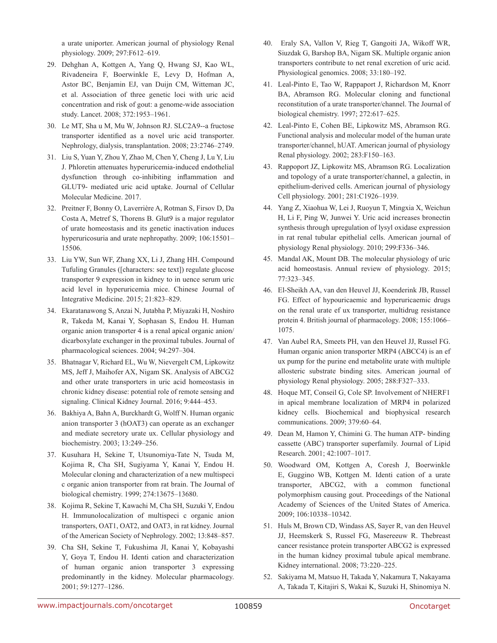a urate uniporter. American journal of physiology Renal physiology. 2009; 297:F612–619.

- 29. Dehghan A, Kottgen A, Yang Q, Hwang SJ, Kao WL, Rivadeneira F, Boerwinkle E, Levy D, Hofman A, Astor BC, Benjamin EJ, van Duijn CM, Witteman JC, et al. Association of three genetic loci with uric acid concentration and risk of gout: a genome-wide association study. Lancet. 2008; 372:1953–1961.
- 30. Le MT, Sha u M, Mu W, Johnson RJ. SLC2A9--a fructose transporter identified as a novel uric acid transporter. Nephrology, dialysis, transplantation. 2008; 23:2746–2749.
- 31. Liu S, Yuan Y, Zhou Y, Zhao M, Chen Y, Cheng J, Lu Y, Liu J. Phloretin attenuates hyperuricemia-induced endothelial dysfunction through co-inhibiting inflammation and GLUT9- mediated uric acid uptake. Journal of Cellular Molecular Medicine. 2017.
- 32. Preitner F, Bonny O, Laverrière A, Rotman S, Firsov D, Da Costa A, Metref S, Thorens B. Glut9 is a major regulator of urate homeostasis and its genetic inactivation induces hyperuricosuria and urate nephropathy. 2009; 106:15501-15506.
- 33. Liu YW, Sun WF, Zhang XX, Li J, Zhang HH. Compound Tufuling Granules ([characters: see text]) regulate glucose transporter 9 expression in kidney to in uence serum uric acid level in hyperuricemia mice. Chinese Journal of Integrative Medicine. 2015; 21:823–829.
- 34. Ekaratanawong S, Anzai N, Jutabha P, Miyazaki H, Noshiro R, Takeda M, Kanai Y, Sophasan S, Endou H. Human organic anion transporter 4 is a renal apical organic anion/ dicarboxylate exchanger in the proximal tubules. Journal of pharmacological sciences. 2004; 94:297–304.
- 35. Bhatnagar V, Richard EL, Wu W, Nievergelt CM, Lipkowitz MS, Jeff J, Maihofer AX, Nigam SK. Analysis of ABCG2 and other urate transporters in uric acid homeostasis in chronic kidney disease: potential role of remote sensing and signaling. Clinical Kidney Journal. 2016; 9:444–453.
- 36. Bakhiya A, Bahn A, Burckhardt G, Wolff N. Human organic anion transporter 3 (hOAT3) can operate as an exchanger and mediate secretory urate ux. Cellular physiology and biochemistry. 2003; 13:249–256.
- 37. Kusuhara H, Sekine T, Utsunomiya-Tate N, Tsuda M, Kojima R, Cha SH, Sugiyama Y, Kanai Y, Endou H. Molecular cloning and characterization of a new multispeci c organic anion transporter from rat brain. The Journal of biological chemistry. 1999; 274:13675–13680.
- 38. Kojima R, Sekine T, Kawachi M, Cha SH, Suzuki Y, Endou H. Immunolocalization of multispeci c organic anion transporters, OAT1, OAT2, and OAT3, in rat kidney. Journal of the American Society of Nephrology. 2002; 13:848–857.
- 39. Cha SH, Sekine T, Fukushima JI, Kanai Y, Kobayashi Y, Goya T, Endou H. Identi cation and characterization of human organic anion transporter 3 expressing predominantly in the kidney. Molecular pharmacology. 2001; 59:1277–1286.
- 40. Eraly SA, Vallon V, Rieg T, Gangoiti JA, Wikoff WR, Siuzdak G, Barshop BA, Nigam SK. Multiple organic anion transporters contribute to net renal excretion of uric acid. Physiological genomics. 2008; 33:180–192.
- 41. Leal-Pinto E, Tao W, Rappaport J, Richardson M, Knorr BA, Abramson RG. Molecular cloning and functional reconstitution of a urate transporter/channel. The Journal of biological chemistry. 1997; 272:617–625.
- 42. Leal-Pinto E, Cohen BE, Lipkowitz MS, Abramson RG. Functional analysis and molecular model of the human urate transporter/channel, hUAT. American journal of physiology Renal physiology. 2002; 283:F150–163.
- 43. Rappoport JZ, Lipkowitz MS, Abramson RG. Localization and topology of a urate transporter/channel, a galectin, in epithelium-derived cells. American journal of physiology Cell physiology. 2001; 281:C1926–1939.
- 44. Yang Z, Xiaohua W, Lei J, Ruoyun T, Mingxia X, Weichun H, Li F, Ping W, Junwei Y. Uric acid increases bronectin synthesis through upregulation of lysyl oxidase expression in rat renal tubular epithelial cells. American journal of physiology Renal physiology. 2010; 299:F336–346.
- 45. Mandal AK, Mount DB. The molecular physiology of uric acid homeostasis. Annual review of physiology. 2015; 77:323–345.
- 46. El-Sheikh AA, van den Heuvel JJ, Koenderink JB, Russel FG. Effect of hypouricaemic and hyperuricaemic drugs on the renal urate ef ux transporter, multidrug resistance protein 4. British journal of pharmacology. 2008; 155:1066– 1075.
- 47. Van Aubel RA, Smeets PH, van den Heuvel JJ, Russel FG. Human organic anion transporter MRP4 (ABCC4) is an ef ux pump for the purine end metabolite urate with multiple allosteric substrate binding sites. American journal of physiology Renal physiology. 2005; 288:F327–333.
- 48. Hoque MT, Conseil G, Cole SP. Involvement of NHERF1 in apical membrane localization of MRP4 in polarized kidney cells. Biochemical and biophysical research communications. 2009; 379:60–64.
- 49. Dean M, Hamon Y, Chimini G. The human ATP- binding cassette (ABC) transporter superfamily. Journal of Lipid Research. 2001; 42:1007–1017.
- 50. Woodward OM, Kottgen A, Coresh J, Boerwinkle E, Guggino WB, Kottgen M. Identi cation of a urate transporter, ABCG2, with a common functional polymorphism causing gout. Proceedings of the National Academy of Sciences of the United States of America. 2009; 106:10338–10342.
- 51. Huls M, Brown CD, Windass AS, Sayer R, van den Heuvel JJ, Heemskerk S, Russel FG, Masereeuw R. Thebreast cancer resistance protein transporter ABCG2 is expressed in the human kidney proximal tubule apical membrane. Kidney international. 2008; 73:220–225.
- 52. Sakiyama M, Matsuo H, Takada Y, Nakamura T, Nakayama A, Takada T, Kitajiri S, Wakai K, Suzuki H, Shinomiya N.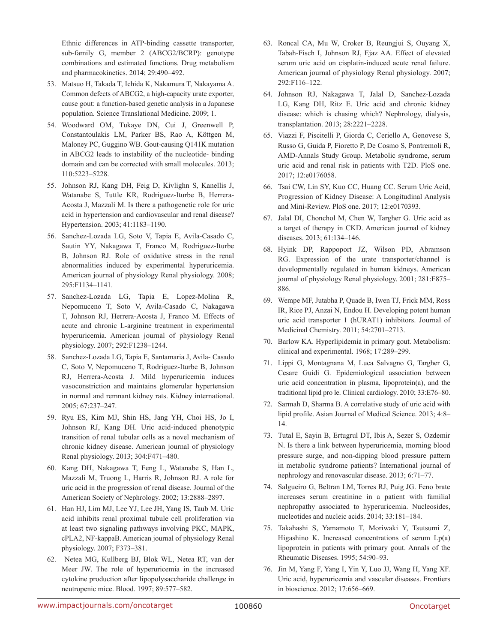Ethnic differences in ATP-binding cassette transporter, sub-family G, member 2 (ABCG2/BCRP): genotype combinations and estimated functions. Drug metabolism and pharmacokinetics. 2014; 29:490–492.

- 53. Matsuo H, Takada T, Ichida K, Nakamura T, Nakayama A. Common defects of ABCG2, a high-capacity urate exporter, cause gout: a function-based genetic analysis in a Japanese population. Science Translational Medicine. 2009; 1.
- 54. Woodward OM, Tukaye DN, Cui J, Greenwell P, Constantoulakis LM, Parker BS, Rao A, Köttgen M, Maloney PC, Guggino WB. Gout-causing Q141K mutation in ABCG2 leads to instability of the nucleotide- binding domain and can be corrected with small molecules. 2013; 110:5223–5228.
- 55. Johnson RJ, Kang DH, Feig D, Kivlighn S, Kanellis J, Watanabe S, Tuttle KR, Rodriguez-Iturbe B, Herrera-Acosta J, Mazzali M. Is there a pathogenetic role for uric acid in hypertension and cardiovascular and renal disease? Hypertension. 2003; 41:1183–1190.
- 56. Sanchez-Lozada LG, Soto V, Tapia E, Avila-Casado C, Sautin YY, Nakagawa T, Franco M, Rodriguez-Iturbe B, Johnson RJ. Role of oxidative stress in the renal abnormalities induced by experimental hyperuricemia. American journal of physiology Renal physiology. 2008; 295:F1134–1141.
- 57. Sanchez-Lozada LG, Tapia E, Lopez-Molina R, Nepomuceno T, Soto V, Avila-Casado C, Nakagawa T, Johnson RJ, Herrera-Acosta J, Franco M. Effects of acute and chronic L-arginine treatment in experimental hyperuricemia. American journal of physiology Renal physiology. 2007; 292:F1238–1244.
- 58. Sanchez-Lozada LG, Tapia E, Santamaria J, Avila- Casado C, Soto V, Nepomuceno T, Rodriguez-Iturbe B, Johnson RJ, Herrera-Acosta J. Mild hyperuricemia induces vasoconstriction and maintains glomerular hypertension in normal and remnant kidney rats. Kidney international. 2005; 67:237–247.
- 59. Ryu ES, Kim MJ, Shin HS, Jang YH, Choi HS, Jo I, Johnson RJ, Kang DH. Uric acid-induced phenotypic transition of renal tubular cells as a novel mechanism of chronic kidney disease. American journal of physiology Renal physiology. 2013; 304:F471–480.
- 60. Kang DH, Nakagawa T, Feng L, Watanabe S, Han L, Mazzali M, Truong L, Harris R, Johnson RJ. A role for uric acid in the progression of renal disease. Journal of the American Society of Nephrology. 2002; 13:2888–2897.
- 61. Han HJ, Lim MJ, Lee YJ, Lee JH, Yang IS, Taub M. Uric acid inhibits renal proximal tubule cell proliferation via at least two signaling pathways involving PKC, MAPK, cPLA2, NF-kappaB. American journal of physiology Renal physiology. 2007; F373–381.
- 62. Netea MG, Kullberg BJ, Blok WL, Netea RT, van der Meer JW. The role of hyperuricemia in the increased cytokine production after lipopolysaccharide challenge in neutropenic mice. Blood. 1997; 89:577–582.
- 63. Roncal CA, Mu W, Croker B, Reungjui S, Ouyang X, Tabah-Fisch I, Johnson RJ, Ejaz AA. Effect of elevated serum uric acid on cisplatin-induced acute renal failure. American journal of physiology Renal physiology. 2007; 292:F116–122.
- 64. Johnson RJ, Nakagawa T, Jalal D, Sanchez-Lozada LG, Kang DH, Ritz E. Uric acid and chronic kidney disease: which is chasing which? Nephrology, dialysis, transplantation. 2013; 28:2221–2228.
- 65. Viazzi F, Piscitelli P, Giorda C, Ceriello A, Genovese S, Russo G, Guida P, Fioretto P, De Cosmo S, Pontremoli R, AMD-Annals Study Group. Metabolic syndrome, serum uric acid and renal risk in patients with T2D. PloS one. 2017; 12:e0176058.
- 66. Tsai CW, Lin SY, Kuo CC, Huang CC. Serum Uric Acid, Progression of Kidney Disease: A Longitudinal Analysis and Mini-Review. PloS one. 2017; 12:e0170393.
- 67. Jalal DI, Chonchol M, Chen W, Targher G. Uric acid as a target of therapy in CKD. American journal of kidney diseases. 2013; 61:134–146.
- 68. Hyink DP, Rappoport JZ, Wilson PD, Abramson RG. Expression of the urate transporter/channel is developmentally regulated in human kidneys. American journal of physiology Renal physiology. 2001; 281:F875– 886.
- 69. Wempe MF, Jutabha P, Quade B, Iwen TJ, Frick MM, Ross IR, Rice PJ, Anzai N, Endou H. Developing potent human uric acid transporter 1 (hURAT1) inhibitors. Journal of Medicinal Chemistry. 2011; 54:2701–2713.
- 70. Barlow KA. Hyperlipidemia in primary gout. Metabolism: clinical and experimental. 1968; 17:289–299.
- 71. Lippi G, Montagnana M, Luca Salvagno G, Targher G, Cesare Guidi G. Epidemiological association between uric acid concentration in plasma, lipoprotein(a), and the traditional lipid pro le. Clinical cardiology. 2010; 33:E76–80.
- 72. Sarmah D, Sharma B. A correlative study of uric acid with lipid profile. Asian Journal of Medical Science. 2013; 4:8– 14.
- 73. Tutal E, Sayin B, Ertugrul DT, Ibis A, Sezer S, Ozdemir N. Is there a link between hyperuricemia, morning blood pressure surge, and non-dipping blood pressure pattern in metabolic syndrome patients? International journal of nephrology and renovascular disease. 2013; 6:71–77.
- 74. Salgueiro G, Beltran LM, Torres RJ, Puig JG. Feno brate increases serum creatinine in a patient with familial nephropathy associated to hyperuricemia. Nucleosides, nucleotides and nucleic acids. 2014; 33:181–184.
- 75. Takahashi S, Yamamoto T, Moriwaki Y, Tsutsumi Z, Higashino K. Increased concentrations of serum Lp(a) lipoprotein in patients with primary gout. Annals of the Rheumatic Diseases. 1995; 54:90–93.
- 76. Jin M, Yang F, Yang I, Yin Y, Luo JJ, Wang H, Yang XF. Uric acid, hyperuricemia and vascular diseases. Frontiers in bioscience. 2012; 17:656–669.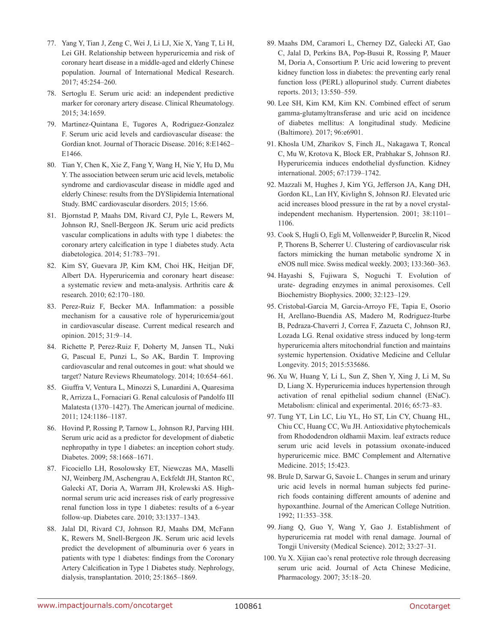- 77. Yang Y, Tian J, Zeng C, Wei J, Li LJ, Xie X, Yang T, Li H, Lei GH. Relationship between hyperuricemia and risk of coronary heart disease in a middle-aged and elderly Chinese population. Journal of International Medical Research. 2017; 45:254–260.
- 78. Sertoglu E. Serum uric acid: an independent predictive marker for coronary artery disease. Clinical Rheumatology. 2015; 34:1659.
- 79. Martinez-Quintana E, Tugores A, Rodriguez-Gonzalez F. Serum uric acid levels and cardiovascular disease: the Gordian knot. Journal of Thoracic Disease. 2016; 8:E1462– E1466.
- 80. Tian Y, Chen K, Xie Z, Fang Y, Wang H, Nie Y, Hu D, Mu Y. The association between serum uric acid levels, metabolic syndrome and cardiovascular disease in middle aged and elderly Chinese: results from the DYSlipidemia International Study. BMC cardiovascular disorders. 2015; 15:66.
- 81. Bjornstad P, Maahs DM, Rivard CJ, Pyle L, Rewers M, Johnson RJ, Snell-Bergeon JK. Serum uric acid predicts vascular complications in adults with type 1 diabetes: the coronary artery calcification in type 1 diabetes study. Acta diabetologica. 2014; 51:783–791.
- 82. Kim SY, Guevara JP, Kim KM, Choi HK, Heitjan DF, Albert DA. Hyperuricemia and coronary heart disease: a systematic review and meta-analysis. Arthritis care & research. 2010; 62:170–180.
- 83. Perez-Ruiz F, Becker MA. Inflammation: a possible mechanism for a causative role of hyperuricemia/gout in cardiovascular disease. Current medical research and opinion. 2015; 31:9–14.
- 84. Richette P, Perez-Ruiz F, Doherty M, Jansen TL, Nuki G, Pascual E, Punzi L, So AK, Bardin T. Improving cardiovascular and renal outcomes in gout: what should we target? Nature Reviews Rheumatology. 2014; 10:654–661.
- 85. Giuffra V, Ventura L, Minozzi S, Lunardini A, Quaresima R, Arrizza L, Fornaciari G. Renal calculosis of Pandolfo III Malatesta (1370–1427). The American journal of medicine. 2011; 124:1186–1187.
- 86. Hovind P, Rossing P, Tarnow L, Johnson RJ, Parving HH. Serum uric acid as a predictor for development of diabetic nephropathy in type 1 diabetes: an inception cohort study. Diabetes. 2009; 58:1668–1671.
- 87. Ficociello LH, Rosolowsky ET, Niewczas MA, Maselli NJ, Weinberg JM, Aschengrau A, Eckfeldt JH, Stanton RC, Galecki AT, Doria A, Warram JH, Krolewski AS. Highnormal serum uric acid increases risk of early progressive renal function loss in type 1 diabetes: results of a 6-year follow-up. Diabetes care. 2010; 33:1337–1343.
- 88. Jalal DI, Rivard CJ, Johnson RJ, Maahs DM, McFann K, Rewers M, Snell-Bergeon JK. Serum uric acid levels predict the development of albuminuria over 6 years in patients with type 1 diabetes: findings from the Coronary Artery Calcification in Type 1 Diabetes study. Nephrology, dialysis, transplantation. 2010; 25:1865–1869.
- 89. Maahs DM, Caramori L, Cherney DZ, Galecki AT, Gao C, Jalal D, Perkins BA, Pop-Busui R, Rossing P, Mauer M, Doria A, Consortium P. Uric acid lowering to prevent kidney function loss in diabetes: the preventing early renal function loss (PERL) allopurinol study. Current diabetes reports. 2013; 13:550–559.
- 90. Lee SH, Kim KM, Kim KN. Combined effect of serum gamma-glutamyltransferase and uric acid on incidence of diabetes mellitus: A longitudinal study. Medicine (Baltimore). 2017; 96:e6901.
- 91. Khosla UM, Zharikov S, Finch JL, Nakagawa T, Roncal C, Mu W, Krotova K, Block ER, Prabhakar S, Johnson RJ. Hyperuricemia induces endothelial dysfunction. Kidney international. 2005; 67:1739–1742.
- 92. Mazzali M, Hughes J, Kim YG, Jefferson JA, Kang DH, Gordon KL, Lan HY, Kivlighn S, Johnson RJ. Elevated uric acid increases blood pressure in the rat by a novel crystalindependent mechanism. Hypertension. 2001; 38:1101– 1106.
- 93. Cook S, Hugli O, Egli M, Vollenweider P, Burcelin R, Nicod P, Thorens B, Scherrer U. Clustering of cardiovascular risk factors mimicking the human metabolic syndrome X in eNOS null mice. Swiss medical weekly. 2003; 133:360–363.
- 94. Hayashi S, Fujiwara S, Noguchi T. Evolution of urate- degrading enzymes in animal peroxisomes. Cell Biochemistry Biophysics. 2000; 32:123–129.
- 95. Cristobal-Garcia M, Garcia-Arroyo FE, Tapia E, Osorio H, Arellano-Buendia AS, Madero M, Rodriguez-Iturbe B, Pedraza-Chaverri J, Correa F, Zazueta C, Johnson RJ, Lozada LG. Renal oxidative stress induced by long-term hyperuricemia alters mitochondrial function and maintains systemic hypertension. Oxidative Medicine and Cellular Longevity. 2015; 2015:535686.
- 96. Xu W, Huang Y, Li L, Sun Z, Shen Y, Xing J, Li M, Su D, Liang X. Hyperuricemia induces hypertension through activation of renal epithelial sodium channel (ENaC). Metabolism: clinical and experimental. 2016; 65:73–83.
- 97. Tung YT, Lin LC, Liu YL, Ho ST, Lin CY, Chuang HL, Chiu CC, Huang CC, Wu JH. Antioxidative phytochemicals from Rhododendron oldhamii Maxim. leaf extracts reduce serum uric acid levels in potassium oxonate-induced hyperuricemic mice. BMC Complement and Alternative Medicine. 2015; 15:423.
- 98. Brule D, Sarwar G, Savoie L. Changes in serum and urinary uric acid levels in normal human subjects fed purinerich foods containing different amounts of adenine and hypoxanthine. Journal of the American College Nutrition. 1992; 11:353–358.
- 99. Jiang Q, Guo Y, Wang Y, Gao J. Establishment of hyperuricemia rat model with renal damage. Journal of Tongji University (Medical Science). 2012; 33:27–31.
- 100. Yu X. Xijian cao's renal protective role through decreasing serum uric acid. Journal of Acta Chinese Medicine, Pharmacology. 2007; 35:18–20.